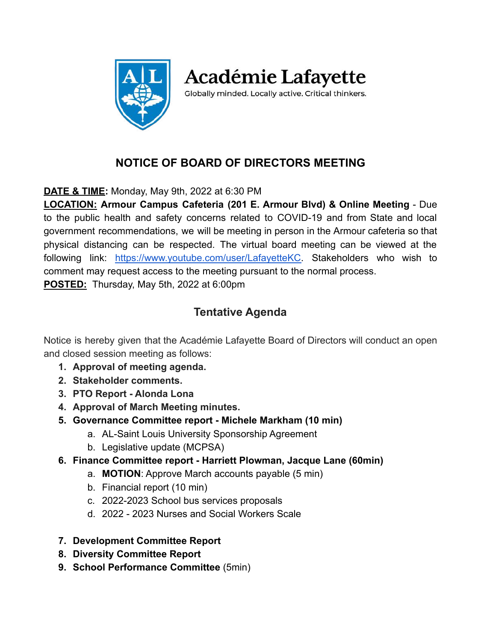

**Académie Lafayette** 

Globally minded. Locally active. Critical thinkers.

# **NOTICE OF BOARD OF DIRECTORS MEETING**

**DATE & TIME:** Monday, May 9th, 2022 at 6:30 PM

**LOCATION: Armour Campus Cafeteria (201 E. Armour Blvd) & Online Meeting** - Due to the public health and safety concerns related to COVID-19 and from State and local government recommendations, we will be meeting in person in the Armour cafeteria so that physical distancing can be respected. The virtual board meeting can be viewed at the following link: [https://www.youtube.com/user/LafayetteKC.](https://www.youtube.com/user/LafayetteKC) Stakeholders who wish to comment may request access to the meeting pursuant to the normal process. **POSTED:** Thursday, May 5th, 2022 at 6:00pm

## **Tentative Agenda**

Notice is hereby given that the Académie Lafayette Board of Directors will conduct an open and closed session meeting as follows:

- **1. Approval of meeting agenda.**
- **2. Stakeholder comments.**
- **3. PTO Report Alonda Lona**
- **4. Approval of March Meeting minutes.**
- **5. Governance Committee report Michele Markham (10 min)**
	- a. AL-Saint Louis University Sponsorship Agreement
	- b. Legislative update (MCPSA)
- **6. Finance Committee report Harriett Plowman, Jacque Lane (60min)**
	- a. **MOTION**: Approve March accounts payable (5 min)
	- b. Financial report (10 min)
	- c. 2022-2023 School bus services proposals
	- d. 2022 2023 Nurses and Social Workers Scale
- **7. Development Committee Report**
- **8. Diversity Committee Report**
- **9. School Performance Committee** (5min)